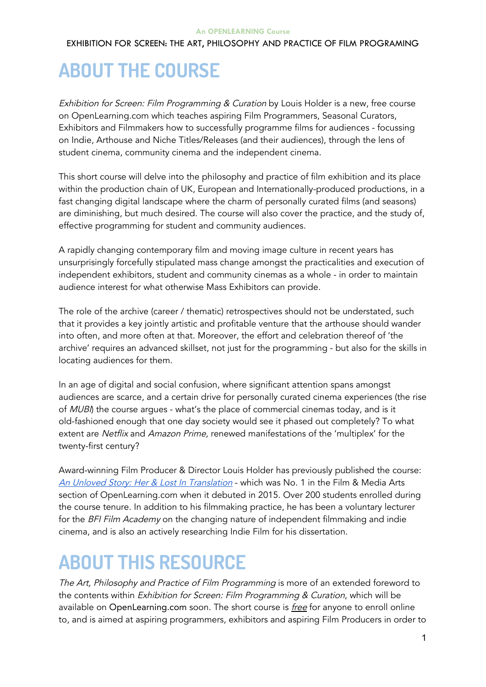### EXHIBITION FOR SCREEN: THE ART, PHILOSOPHY AND PRACTICE OF FILM PROGRAMING

# **ABOUT THE COURSE**

Exhibition for Screen: Film Programming & Curation by Louis Holder is a new, free course on OpenLearning.com which teaches aspiring Film Programmers, Seasonal Curators, Exhibitors and Filmmakers how to successfully programme films for audiences - focussing on Indie, Arthouse and Niche Titles/Releases (and their audiences), through the lens of student cinema, community cinema and the independent cinema.

This short course will delve into the philosophy and practice of film exhibition and its place within the production chain of UK, European and Internationally-produced productions, in a fast changing digital landscape where the charm of personally curated films (and seasons) are diminishing, but much desired. The course will also cover the practice, and the study of, effective programming for student and community audiences.

A rapidly changing contemporary film and moving image culture in recent years has unsurprisingly forcefully stipulated mass change amongst the practicalities and execution of independent exhibitors, student and community cinemas as a whole - in order to maintain audience interest for what otherwise Mass Exhibitors can provide.

The role of the archive (career / thematic) retrospectives should not be understated, such that it provides a key jointly artistic and profitable venture that the arthouse should wander into often, and more often at that. Moreover, the effort and celebration thereof of 'the archive' requires an advanced skillset, not just for the programming - but also for the skills in locating audiences for them.

In an age of digital and social confusion, where significant attention spans amongst audiences are scarce, and a certain drive for personally curated cinema experiences (the rise of MUBI) the course argues - what's the place of commercial cinemas today, and is it old-fashioned enough that one day society would see it phased out completely? To what extent are Netflix and Amazon Prime, renewed manifestations of the 'multiplex' for the twenty-first century?

Award-winning Film Producer & Director Louis Holder has previously published the course: An Unloved Story: Her & Lost In [Translation](https://www.openlearning.com/courses/herintranslation) - which was No. 1 in the Film & Media Arts section of OpenLearning.com when it debuted in 2015. Over 200 students enrolled during the course tenure. In addition to his filmmaking practice, he has been a voluntary lecturer for the BFI Film Academy on the changing nature of independent filmmaking and indie cinema, and is also an actively researching Indie Film for his dissertation.

# **ABOUT THIS RESOURCE**

The Art, Philosophy and Practice of Film Programming is more of an extended foreword to the contents within Exhibition for Screen: Film Programming & Curation, which will be available on OpenLearning.com soon. The short course is *free* for anyone to enroll online to, and is aimed at aspiring programmers, exhibitors and aspiring Film Producers in order to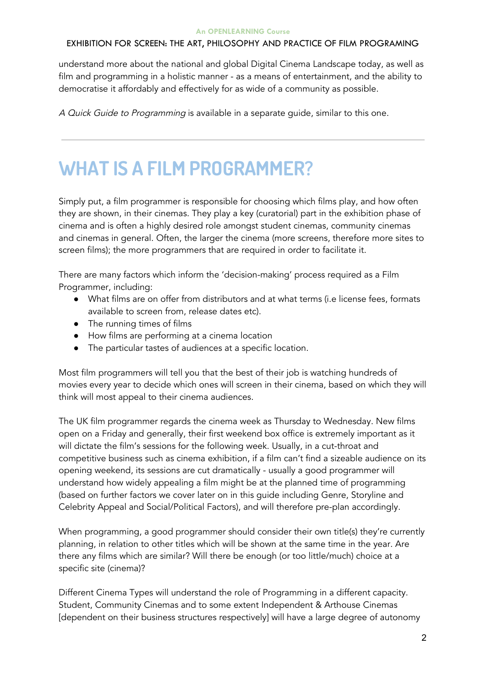understand more about the national and global Digital Cinema Landscape today, as well as film and programming in a holistic manner - as a means of entertainment, and the ability to democratise it affordably and effectively for as wide of a community as possible.

A Quick Guide to Programming is available in a separate guide, similar to this one.

# **WHAT IS A FILM PROGRAMMER?**

Simply put, a film programmer is responsible for choosing which films play, and how often they are shown, in their cinemas. They play a key (curatorial) part in the exhibition phase of cinema and is often a highly desired role amongst student cinemas, community cinemas and cinemas in general. Often, the larger the cinema (more screens, therefore more sites to screen films); the more programmers that are required in order to facilitate it.

There are many factors which inform the 'decision-making' process required as a Film Programmer, including:

- What films are on offer from distributors and at what terms (i.e license fees, formats available to screen from, release dates etc).
- The running times of films
- How films are performing at a cinema location
- The particular tastes of audiences at a specific location.

Most film programmers will tell you that the best of their job is watching hundreds of movies every year to decide which ones will screen in their cinema, based on which they will think will most appeal to their cinema audiences.

The UK film programmer regards the cinema week as Thursday to Wednesday. New films open on a Friday and generally, their first weekend box office is extremely important as it will dictate the film's sessions for the following week. Usually, in a cut-throat and competitive business such as cinema exhibition, if a film can't find a sizeable audience on its opening weekend, its sessions are cut dramatically - usually a good programmer will understand how widely appealing a film might be at the planned time of programming (based on further factors we cover later on in this guide including Genre, Storyline and Celebrity Appeal and Social/Political Factors), and will therefore pre-plan accordingly.

When programming, a good programmer should consider their own title(s) they're currently planning, in relation to other titles which will be shown at the same time in the year. Are there any films which are similar? Will there be enough (or too little/much) choice at a specific site (cinema)?

Different Cinema Types will understand the role of Programming in a different capacity. Student, Community Cinemas and to some extent Independent & Arthouse Cinemas [dependent on their business structures respectively] will have a large degree of autonomy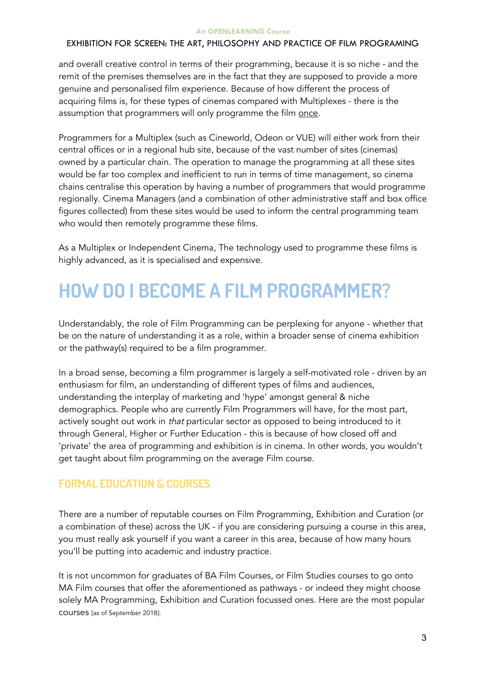## EXHIBITION FOR SCREEN: THE ART, PHILOSOPHY AND PRACTICE OF FILM PROGRAMING

and overall creative control in terms of their programming, because it is so niche - and the remit of the premises themselves are in the fact that they are supposed to provide a more genuine and personalised film experience. Because of how different the process of acquiring films is, for these types of cinemas compared with Multiplexes - there is the assumption that programmers will only programme the film once.

Programmers for a Multiplex (such as Cineworld, Odeon or VUE) will either work from their central offices or in a regional hub site, because of the vast number of sites (cinemas) owned by a particular chain. The operation to manage the programming at all these sites would be far too complex and inefficient to run in terms of time management, so cinema chains centralise this operation by having a number of programmers that would programme regionally. Cinema Managers (and a combination of other administrative staff and box office figures collected) from these sites would be used to inform the central programming team who would then remotely programme these films.

As a Multiplex or Independent Cinema, The technology used to programme these films is highly advanced, as it is specialised and expensive.

# **HOW DO I BECOME A FILM PROGRAMMER?**

Understandably, the role of Film Programming can be perplexing for anyone - whether that be on the nature of understanding it as a role, within a broader sense of cinema exhibition or the pathway(s) required to be a film programmer.

In a broad sense, becoming a film programmer is largely a self-motivated role - driven by an enthusiasm for film, an understanding of different types of films and audiences, understanding the interplay of marketing and 'hype' amongst general & niche demographics. People who are currently Film Programmers will have, for the most part, actively sought out work in that particular sector as opposed to being introduced to it through General, Higher or Further Education - this is because of how closed off and 'private' the area of programming and exhibition is in cinema. In other words, you wouldn't get taught about film programming on the average Film course.

## **FORMAL EDUCATION & COURSES**

There are a number of reputable courses on Film Programming, Exhibition and Curation (or a combination of these) across the UK - if you are considering pursuing a course in this area, you must really ask yourself if you want a career in this area, because of how many hours you'll be putting into academic and industry practice.

It is not uncommon for graduates of BA Film Courses, or Film Studies courses to go onto MA Film courses that offer the aforementioned as pathways - or indeed they might choose solely MA Programming, Exhibition and Curation focussed ones. Here are the most popular courses [as of September 2018]: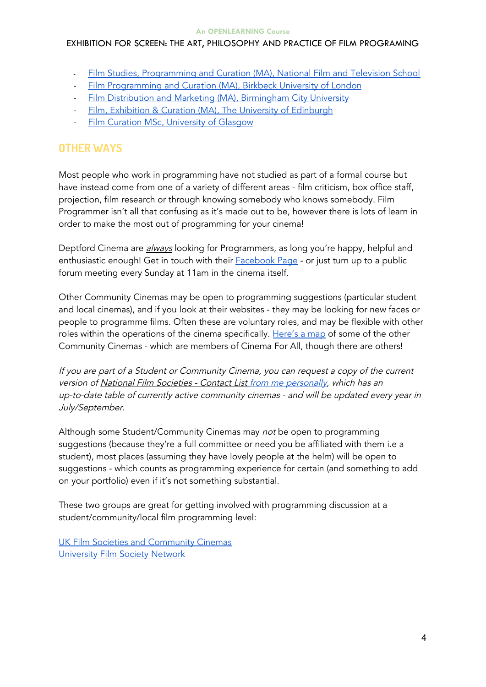## EXHIBITION FOR SCREEN: THE ART, PHILOSOPHY AND PRACTICE OF FILM PROGRAMING

- Film Studies, [Programming](https://nfts.co.uk/film-studies-programming-and-curation) and Curation (MA), National Film and Television School
- Film [Programming](http://www.bbk.ac.uk/study/2018/postgraduate/programmes/TMAFMCUP_C/) and Curation (MA), Birkbeck University of London
- Film Distribution and Marketing (MA), [Birmingham](https://www.bcu.ac.uk/courses/film-distribution-and-marketing-ma-2018-19) City University
- Film, Exhibition & Curation (MA), The University of [Edinburgh](https://www.ed.ac.uk/studying/postgraduate/degrees/index.php?r=site/view&id=658)
- Film Curation MSc, [University](https://www.gla.ac.uk/postgraduate/taught/filmcuration/) of Glasgow

## **OTHER WAYS**

Most people who work in programming have not studied as part of a formal course but have instead come from one of a variety of different areas - film criticism, box office staff, projection, film research or through knowing somebody who knows somebody. Film Programmer isn't all that confusing as it's made out to be, however there is lots of learn in order to make the most out of programming for your cinema!

Deptford Cinema are *always* looking for Programmers, as long you're happy, helpful and enthusiastic enough! Get in touch with their **[Facebook](https://www.facebook.com/DeptfordCinema/) Page** - or just turn up to a public forum meeting every Sunday at 11am in the cinema itself.

Other Community Cinemas may be open to programming suggestions (particular student and local cinemas), and if you look at their websites - they may be looking for new faces or people to programme films. Often these are voluntary roles, and may be flexible with other roles within the operations of the cinema specifically. [Here's](https://cinemaforall.org.uk/map/) a map of some of the other Community Cinemas - which are members of Cinema For All, though there are others!

If you are part of <sup>a</sup> Student or Community Cinema, you can request <sup>a</sup> copy of the current version of National Film Societies - Contact List from me [persona](mailto:louishb@gmail.com)lly, which has an up-to-date table of currently active community cinemas - and will be updated every year in July/September.

Although some Student/Community Cinemas may not be open to programming suggestions (because they're a full committee or need you be affiliated with them i.e a student), most places (assuming they have lovely people at the helm) will be open to suggestions - which counts as programming experience for certain (and something to add on your portfolio) even if it's not something substantial.

These two groups are great for getting involved with programming discussion at a student/community/local film programming level:

UK Film Societies and [Community](https://www.facebook.com/groups/ukfilmsocs/) Cinemas [University](https://www.facebook.com/groups/1673170733010200/) Film Society Network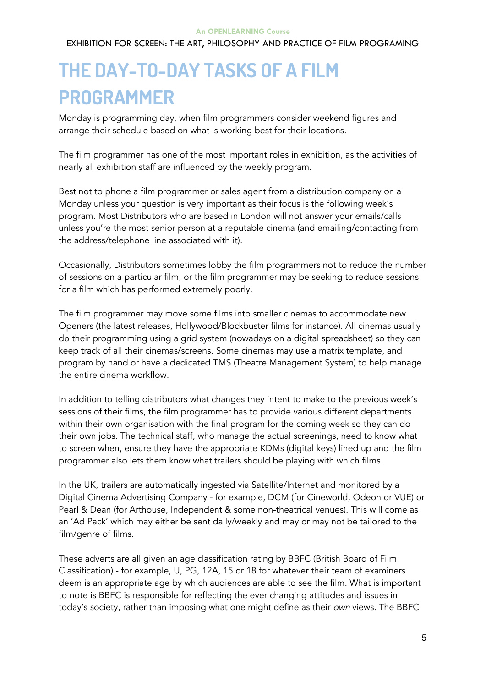### **An OPENLEARNING Course** EXHIBITION FOR SCREEN: THE ART, PHILOSOPHY AND PRACTICE OF FILM PROGRAMING

# **THE DAY-TO-DAY TASKS OF A FILM PROGRAMMER**

Monday is programming day, when film programmers consider weekend figures and arrange their schedule based on what is working best for their locations.

The film programmer has one of the most important roles in exhibition, as the activities of nearly all exhibition staff are influenced by the weekly program.

Best not to phone a film programmer or sales agent from a distribution company on a Monday unless your question is very important as their focus is the following week's program. Most Distributors who are based in London will not answer your emails/calls unless you're the most senior person at a reputable cinema (and emailing/contacting from the address/telephone line associated with it).

Occasionally, Distributors sometimes lobby the film programmers not to reduce the number of sessions on a particular film, or the film programmer may be seeking to reduce sessions for a film which has performed extremely poorly.

The film programmer may move some films into smaller cinemas to accommodate new Openers (the latest releases, Hollywood/Blockbuster films for instance). All cinemas usually do their programming using a grid system (nowadays on a digital spreadsheet) so they can keep track of all their cinemas/screens. Some cinemas may use a matrix template, and program by hand or have a dedicated TMS (Theatre Management System) to help manage the entire cinema workflow.

In addition to telling distributors what changes they intent to make to the previous week's sessions of their films, the film programmer has to provide various different departments within their own organisation with the final program for the coming week so they can do their own jobs. The technical staff, who manage the actual screenings, need to know what to screen when, ensure they have the appropriate KDMs (digital keys) lined up and the film programmer also lets them know what trailers should be playing with which films.

In the UK, trailers are automatically ingested via Satellite/Internet and monitored by a Digital Cinema Advertising Company - for example, DCM (for Cineworld, Odeon or VUE) or Pearl & Dean (for Arthouse, Independent & some non-theatrical venues). This will come as an 'Ad Pack' which may either be sent daily/weekly and may or may not be tailored to the film/genre of films.

These adverts are all given an age classification rating by BBFC (British Board of Film Classification) - for example, U, PG, 12A, 15 or 18 for whatever their team of examiners deem is an appropriate age by which audiences are able to see the film. What is important to note is BBFC is responsible for reflecting the ever changing attitudes and issues in today's society, rather than imposing what one might define as their own views. The BBFC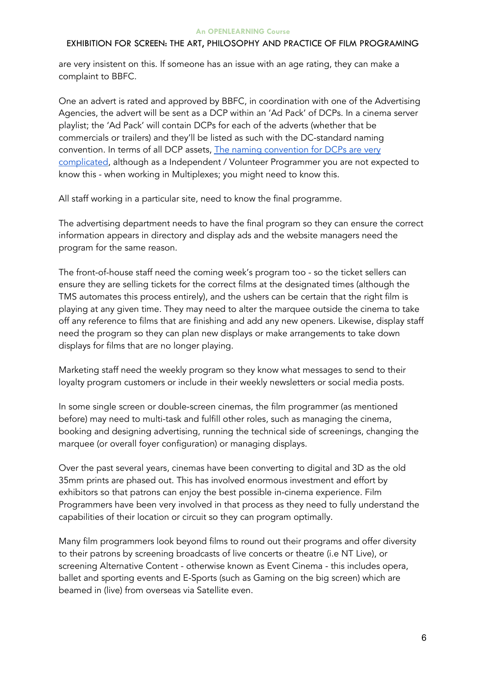are very insistent on this. If someone has an issue with an age rating, they can make a complaint to BBFC.

One an advert is rated and approved by BBFC, in coordination with one of the Advertising Agencies, the advert will be sent as a DCP within an 'Ad Pack' of DCPs. In a cinema server playlist; the 'Ad Pack' will contain DCPs for each of the adverts (whether that be commercials or trailers) and they'll be listed as such with the DC-standard naming [convention](http://isdcf.com/DC_Naming_Convention_V3.pdf). In terms of all DCP assets, The naming convention for DCPs are very [complicated,](http://isdcf.com/DC_Naming_Convention_V3.pdf) although as a Independent / Volunteer Programmer you are not expected to know this - when working in Multiplexes; you might need to know this.

All staff working in a particular site, need to know the final programme.

The advertising department needs to have the final program so they can ensure the correct information appears in directory and display ads and the website managers need the program for the same reason.

The front-of-house staff need the coming week's program too - so the ticket sellers can ensure they are selling tickets for the correct films at the designated times (although the TMS automates this process entirely), and the ushers can be certain that the right film is playing at any given time. They may need to alter the marquee outside the cinema to take off any reference to films that are finishing and add any new openers. Likewise, display staff need the program so they can plan new displays or make arrangements to take down displays for films that are no longer playing.

Marketing staff need the weekly program so they know what messages to send to their loyalty program customers or include in their weekly newsletters or social media posts.

In some single screen or double-screen cinemas, the film programmer (as mentioned before) may need to multi-task and fulfill other roles, such as managing the cinema, booking and designing advertising, running the technical side of screenings, changing the marquee (or overall foyer configuration) or managing displays.

Over the past several years, cinemas have been converting to digital and 3D as the old 35mm prints are phased out. This has involved enormous investment and effort by exhibitors so that patrons can enjoy the best possible in-cinema experience. Film Programmers have been very involved in that process as they need to fully understand the capabilities of their location or circuit so they can program optimally.

Many film programmers look beyond films to round out their programs and offer diversity to their patrons by screening broadcasts of live concerts or theatre (i.e NT Live), or screening Alternative Content - otherwise known as Event Cinema - this includes opera, ballet and sporting events and E-Sports (such as Gaming on the big screen) which are beamed in (live) from overseas via Satellite even.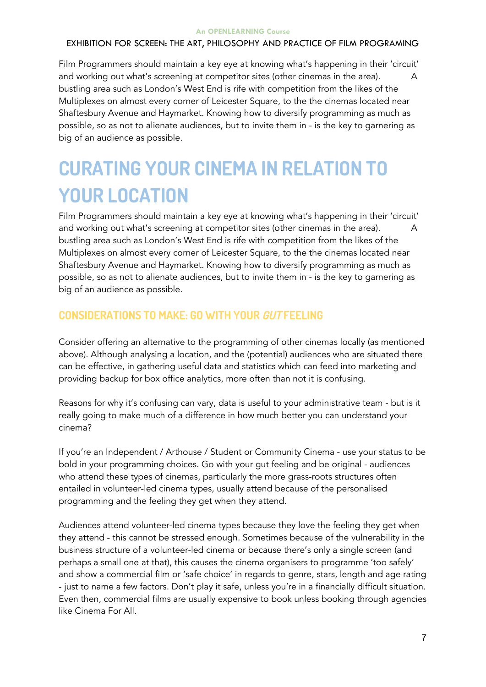Film Programmers should maintain a key eye at knowing what's happening in their 'circuit' and working out what's screening at competitor sites (other cinemas in the area). A bustling area such as London's West End is rife with competition from the likes of the Multiplexes on almost every corner of Leicester Square, to the the cinemas located near Shaftesbury Avenue and Haymarket. Knowing how to diversify programming as much as possible, so as not to alienate audiences, but to invite them in - is the key to garnering as big of an audience as possible.

# **CURATING YOUR CINEMA IN RELATION TO YOUR LOCATION**

Film Programmers should maintain a key eye at knowing what's happening in their 'circuit' and working out what's screening at competitor sites (other cinemas in the area). A bustling area such as London's West End is rife with competition from the likes of the Multiplexes on almost every corner of Leicester Square, to the the cinemas located near Shaftesbury Avenue and Haymarket. Knowing how to diversify programming as much as possible, so as not to alienate audiences, but to invite them in - is the key to garnering as big of an audience as possible.

## **CONSIDERATIONS TO MAKE: GO WITH YOUR GUT FEELING**

Consider offering an alternative to the programming of other cinemas locally (as mentioned above). Although analysing a location, and the (potential) audiences who are situated there can be effective, in gathering useful data and statistics which can feed into marketing and providing backup for box office analytics, more often than not it is confusing.

Reasons for why it's confusing can vary, data is useful to your administrative team - but is it really going to make much of a difference in how much better you can understand your cinema?

If you're an Independent / Arthouse / Student or Community Cinema - use your status to be bold in your programming choices. Go with your gut feeling and be original - audiences who attend these types of cinemas, particularly the more grass-roots structures often entailed in volunteer-led cinema types, usually attend because of the personalised programming and the feeling they get when they attend.

Audiences attend volunteer-led cinema types because they love the feeling they get when they attend - this cannot be stressed enough. Sometimes because of the vulnerability in the business structure of a volunteer-led cinema or because there's only a single screen (and perhaps a small one at that), this causes the cinema organisers to programme 'too safely' and show a commercial film or 'safe choice' in regards to genre, stars, length and age rating - just to name a few factors. Don't play it safe, unless you're in a financially difficult situation. Even then, commercial films are usually expensive to book unless booking through agencies like Cinema For All.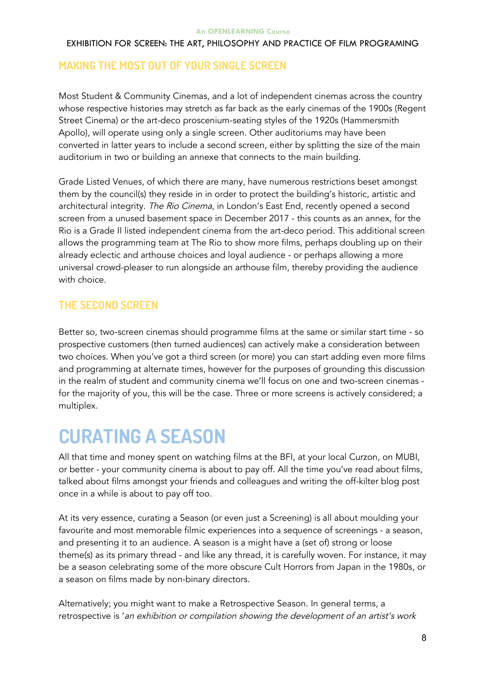## **MAKING THE MOST OUT OF YOUR SINGLE SCREEN**

Most Student & Community Cinemas, and a lot of independent cinemas across the country whose respective histories may stretch as far back as the early cinemas of the 1900s (Regent Street Cinema) or the art-deco proscenium-seating styles of the 1920s (Hammersmith Apollo), will operate using only a single screen. Other auditoriums may have been converted in latter years to include a second screen, either by splitting the size of the main auditorium in two or building an annexe that connects to the main building.

Grade Listed Venues, of which there are many, have numerous restrictions beset amongst them by the council(s) they reside in in order to protect the building's historic, artistic and architectural integrity. The Rio Cinema, in London's East End, recently opened a second screen from a unused basement space in December 2017 - this counts as an annex, for the Rio is a Grade II listed independent cinema from the art-deco period. This additional screen allows the programming team at The Rio to show more films, perhaps doubling up on their already eclectic and arthouse choices and loyal audience - or perhaps allowing a more universal crowd-pleaser to run alongside an arthouse film, thereby providing the audience with choice.

## **THE SECOND SCREEN**

Better so, two-screen cinemas should programme films at the same or similar start time - so prospective customers (then turned audiences) can actively make a consideration between two choices. When you've got a third screen (or more) you can start adding even more films and programming at alternate times, however for the purposes of grounding this discussion in the realm of student and community cinema we'll focus on one and two-screen cinemas for the majority of you, this will be the case. Three or more screens is actively considered; a multiplex.

# **CURATING A SEASON**

All that time and money spent on watching films at the BFI, at your local Curzon, on MUBI, or better - your community cinema is about to pay off. All the time you've read about films, talked about films amongst your friends and colleagues and writing the off-kilter blog post once in a while is about to pay off too.

At its very essence, curating a Season (or even just a Screening) is all about moulding your favourite and most memorable filmic experiences into a sequence of screenings - a season, and presenting it to an audience. A season is a might have a (set of) strong or loose theme(s) as its primary thread - and like any thread, it is carefully woven. For instance, it may be a season celebrating some of the more obscure Cult Horrors from Japan in the 1980s, or a season on films made by non-binary directors.

Alternatively; you might want to make a Retrospective Season. In general terms, a retrospective is 'an exhibition or compilation showing the development of an artist's work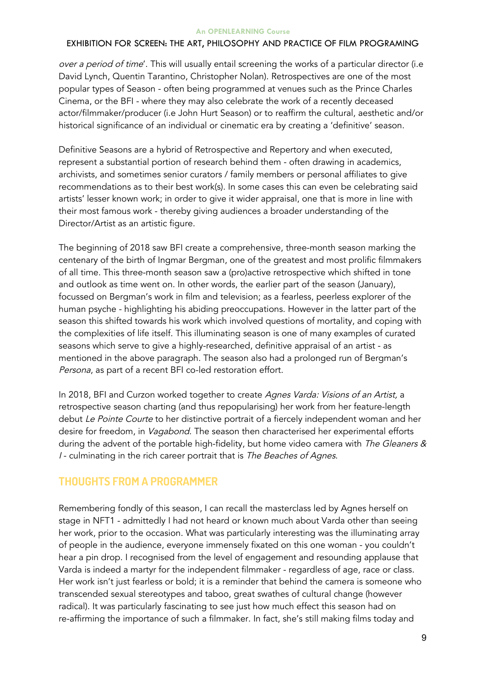## EXHIBITION FOR SCREEN: THE ART, PHILOSOPHY AND PRACTICE OF FILM PROGRAMING

over a period of time'. This will usually entail screening the works of a particular director (i.e David Lynch, Quentin Tarantino, Christopher Nolan). Retrospectives are one of the most popular types of Season - often being programmed at venues such as the Prince Charles Cinema, or the BFI - where they may also celebrate the work of a recently deceased actor/filmmaker/producer (i.e John Hurt Season) or to reaffirm the cultural, aesthetic and/or historical significance of an individual or cinematic era by creating a 'definitive' season.

Definitive Seasons are a hybrid of Retrospective and Repertory and when executed, represent a substantial portion of research behind them - often drawing in academics, archivists, and sometimes senior curators / family members or personal affiliates to give recommendations as to their best work(s). In some cases this can even be celebrating said artists' lesser known work; in order to give it wider appraisal, one that is more in line with their most famous work - thereby giving audiences a broader understanding of the Director/Artist as an artistic figure.

The beginning of 2018 saw BFI create a comprehensive, three-month season marking the centenary of the birth of Ingmar Bergman, one of the greatest and most prolific filmmakers of all time. This three-month season saw a (pro)active retrospective which shifted in tone and outlook as time went on. In other words, the earlier part of the season (January), focussed on Bergman's work in film and television; as a fearless, peerless explorer of the human psyche - highlighting his abiding preoccupations. However in the latter part of the season this shifted towards his work which involved questions of mortality, and coping with the complexities of life itself. This illuminating season is one of many examples of curated seasons which serve to give a highly-researched, definitive appraisal of an artist - as mentioned in the above paragraph. The season also had a prolonged run of Bergman's Persona, as part of a recent BFI co-led restoration effort.

In 2018, BFI and Curzon worked together to create Agnes Varda: Visions of an Artist, a retrospective season charting (and thus repopularising) her work from her feature-length debut Le Pointe Courte to her distinctive portrait of a fiercely independent woman and her desire for freedom, in Vagabond. The season then characterised her experimental efforts during the advent of the portable high-fidelity, but home video camera with The Gleaners & I - culminating in the rich career portrait that is The Beaches of Agnes.

## **THOUGHTS FROM A PROGRAMMER**

Remembering fondly of this season, I can recall the masterclass led by Agnes herself on stage in NFT1 - admittedly I had not heard or known much about Varda other than seeing her work, prior to the occasion. What was particularly interesting was the illuminating array of people in the audience, everyone immensely fixated on this one woman - you couldn't hear a pin drop. I recognised from the level of engagement and resounding applause that Varda is indeed a martyr for the independent filmmaker - regardless of age, race or class. Her work isn't just fearless or bold; it is a reminder that behind the camera is someone who transcended sexual stereotypes and taboo, great swathes of cultural change (however radical). It was particularly fascinating to see just how much effect this season had on re-affirming the importance of such a filmmaker. In fact, she's still making films today and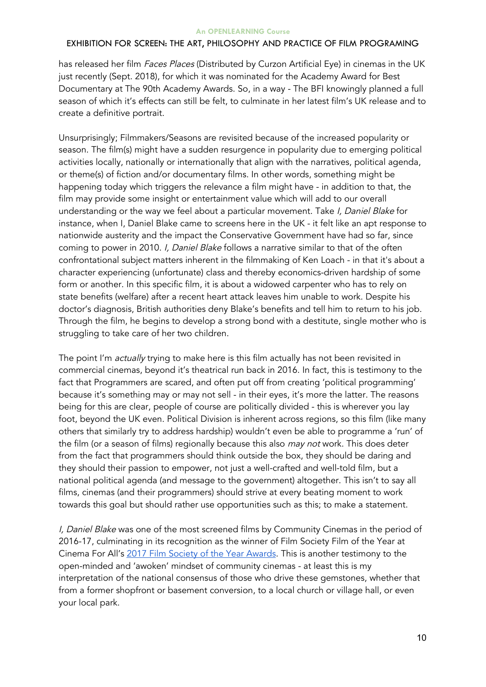### EXHIBITION FOR SCREEN: THE ART, PHILOSOPHY AND PRACTICE OF FILM PROGRAMING

has released her film Faces Places (Distributed by Curzon Artificial Eye) in cinemas in the UK just recently (Sept. 2018), for which it was nominated for the Academy Award for Best Documentary at The 90th Academy Awards. So, in a way - The BFI knowingly planned a full season of which it's effects can still be felt, to culminate in her latest film's UK release and to create a definitive portrait.

Unsurprisingly; Filmmakers/Seasons are revisited because of the increased popularity or season. The film(s) might have a sudden resurgence in popularity due to emerging political activities locally, nationally or internationally that align with the narratives, political agenda, or theme(s) of fiction and/or documentary films. In other words, something might be happening today which triggers the relevance a film might have - in addition to that, the film may provide some insight or entertainment value which will add to our overall understanding or the way we feel about a particular movement. Take I, Daniel Blake for instance, when I, Daniel Blake came to screens here in the UK - it felt like an apt response to nationwide austerity and the impact the Conservative Government have had so far, since coming to power in 2010. I, Daniel Blake follows a narrative similar to that of the often confrontational subject matters inherent in the filmmaking of Ken Loach - in that it's about a character experiencing (unfortunate) class and thereby economics-driven hardship of some form or another. In this specific film, it is about a widowed carpenter who has to rely on state benefits (welfare) after a recent heart attack leaves him unable to work. Despite his doctor's diagnosis, British authorities deny Blake's benefits and tell him to return to his job. Through the film, he begins to develop a strong bond with a destitute, single mother who is struggling to take care of her two children.

The point I'm *actually* trying to make here is this film actually has not been revisited in commercial cinemas, beyond it's theatrical run back in 2016. In fact, this is testimony to the fact that Programmers are scared, and often put off from creating 'political programming' because it's something may or may not sell - in their eyes, it's more the latter. The reasons being for this are clear, people of course are politically divided - this is wherever you lay foot, beyond the UK even. Political Division is inherent across regions, so this film (like many others that similarly try to address hardship) wouldn't even be able to programme a 'run' of the film (or a season of films) regionally because this also may not work. This does deter from the fact that programmers should think outside the box, they should be daring and they should their passion to empower, not just a well-crafted and well-told film, but a national political agenda (and message to the government) altogether. This isn't to say all films, cinemas (and their programmers) should strive at every beating moment to work towards this goal but should rather use opportunities such as this; to make a statement.

I, Daniel Blake was one of the most screened films by Community Cinemas in the period of 2016-17, culminating in its recognition as the winner of Film Society Film of the Year at Cinema For All's 2017 Film Society of the Year [Awards.](https://cinemaforall.org.uk/awards/history-of-the-awards/film-society-of-the-year-awards-2014/) This is another testimony to the open-minded and 'awoken' mindset of community cinemas - at least this is my interpretation of the national consensus of those who drive these gemstones, whether that from a former shopfront or basement conversion, to a local church or village hall, or even your local park.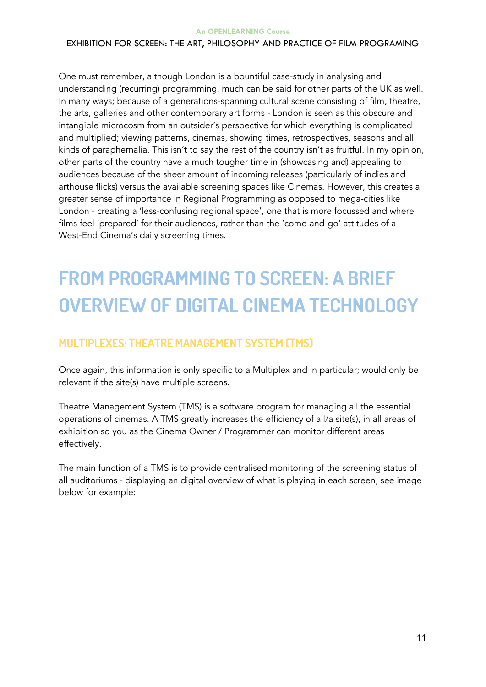## **An OPENLEARNING Course** EXHIBITION FOR SCREEN: THE ART, PHILOSOPHY AND PRACTICE OF FILM PROGRAMING

One must remember, although London is a bountiful case-study in analysing and understanding (recurring) programming, much can be said for other parts of the UK as well. In many ways; because of a generations-spanning cultural scene consisting of film, theatre, the arts, galleries and other contemporary art forms - London is seen as this obscure and intangible microcosm from an outsider's perspective for which everything is complicated and multiplied; viewing patterns, cinemas, showing times, retrospectives, seasons and all kinds of paraphernalia. This isn't to say the rest of the country isn't as fruitful. In my opinion, other parts of the country have a much tougher time in (showcasing and) appealing to audiences because of the sheer amount of incoming releases (particularly of indies and arthouse flicks) versus the available screening spaces like Cinemas. However, this creates a greater sense of importance in Regional Programming as opposed to mega-cities like London - creating a 'less-confusing regional space', one that is more focussed and where films feel 'prepared' for their audiences, rather than the 'come-and-go' attitudes of a West-End Cinema's daily screening times.

# **FROM PROGRAMMING TO SCREEN: A BRIEF OVERVIEW OF DIGITAL CINEMA TECHNOLOGY**

## **MULTIPLEXES: THEATRE MANAGEMENT SYSTEM (TMS)**

Once again, this information is only specific to a Multiplex and in particular; would only be relevant if the site(s) have multiple screens.

Theatre Management System (TMS) is a software program for managing all the essential operations of cinemas. A TMS greatly increases the efficiency of all/a site(s), in all areas of exhibition so you as the Cinema Owner / Programmer can monitor different areas effectively.

The main function of a TMS is to provide centralised monitoring of the screening status of all auditoriums - displaying an digital overview of what is playing in each screen, see image below for example: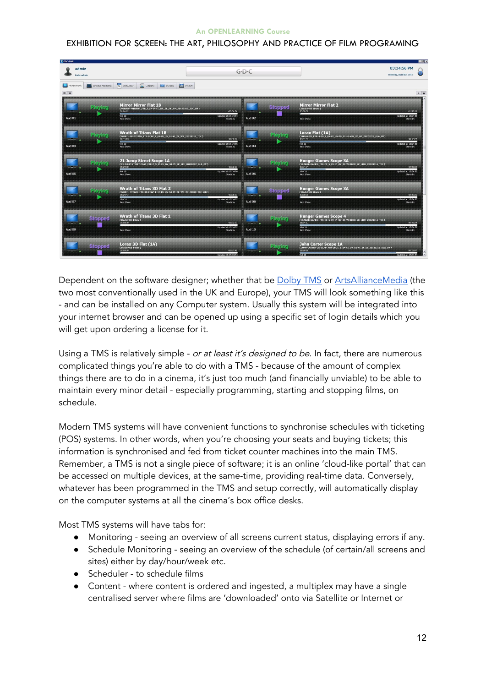## EXHIBITION FOR SCREEN: THE ART, PHILOSOPHY AND PRACTICE OF FILM PROGRAMING

| T GDC-TMS                                                                                              |                |                                                                                                                                                               |                                                           |                     |                |                                                                                                                                            |                                                   | $H = 1$ |
|--------------------------------------------------------------------------------------------------------|----------------|---------------------------------------------------------------------------------------------------------------------------------------------------------------|-----------------------------------------------------------|---------------------|----------------|--------------------------------------------------------------------------------------------------------------------------------------------|---------------------------------------------------|---------|
| admin<br>Role: admin                                                                                   |                |                                                                                                                                                               |                                                           | $G \cdot D \cdot C$ |                |                                                                                                                                            | 03:34:56 PM<br>Tuesday, April 03, 2012            |         |
| <b>BEE</b> CONTENT<br>14 SCHEDULER<br>MONITORING<br><b>CON</b> SYSTEM<br>SCREEN<br>Schedule Monitoring |                |                                                                                                                                                               |                                                           |                     |                |                                                                                                                                            |                                                   |         |
| $= 1$                                                                                                  |                |                                                                                                                                                               |                                                           |                     |                |                                                                                                                                            |                                                   | $P$ $R$ |
| Aud 01                                                                                                 | Playing        | <b>Mirror Mirror Flat 1B</b><br>(MIRROR-MIRROR_FTR_F_EN-EN-CC_US_S1_2K_RM_20120316_TDC_OV)<br>01:04:12<br>90f10<br>Next Show:                                 | $-00:54:54$<br>Updated at: 15:34:54<br>Starts In:         | Aud 02              | <b>Stopped</b> | Mirror Mirror Flat 2<br>00:00:00<br>Next Show:                                                                                             | $-01:55:33$<br>Jodated at: 15:34:55<br>Starts In: |         |
| EO buA                                                                                                 | <b>Playing</b> | <b>Wrath of Titans Flat 1B</b><br>(WRATH-OF-TITANS FTR-CCAP F EN-EN US S1-VI 2K WR 20120313 TDC)<br>00:44:13<br>90f10<br>Next Show:                           | $-01:08:32$<br><b>Updated at: 15:34:55</b><br>Starts Inc. | Aud 04              | Playing        | Lorax Flat (1A)<br>(LORAX-2D FTR-4-2D F EN-XX US-PG 51-HI-VIN 2K UP 20120222 DLA OV.)<br>00:54:53<br>90f10<br>Next Shows                   | $-00:42:27$<br>Updated at: 15:34:55<br>Starts In: |         |
| <b>Aud 05</b>                                                                                          | Playing        | 21 Jump Street Scope 1A (21-JUMP STREET COMP STREET COMP STREET COMP FTR: 2.5 EN: EN: OV , SI-VI_2K_SPE_20120222_DLA_OV)<br>01:29:58<br>$9o$ 10<br>Next Show: | $-00:32:38$<br>Updated at: 15:34:56<br>Starts In:         | Aud 06              | Playing        | <b>Hunger Games Scope 3A</b><br>(HUNGER GAMES FTR-CC S EN-EN OV 51-VI-DBOX 2K LION 20120314 TDC)<br>00:34:04<br>$10$ of $11$<br>Next Shows | $-02:01:32$<br>Indated at: 15:34:52<br>Starts In: |         |
| Aud 07                                                                                                 | Playing        | <b>Wrath of Titans 3D Flat 2</b><br>(WRATH-TITANS FTR-3D-CCAP F EN-EN US 51-VI 2K WR 20120313 TDC (3D)<br>01:24:47<br>$10$ of $11$<br>Next Show:              | $-00:28:13$<br><b>Updated at: 15:34:52</b><br>Starts In:  | 80 buA              | <b>Stopped</b> | Hunger Games Scope 3A<br>Next Shows                                                                                                        | $-02:35:36$<br>Undated at: 15:34:53<br>Starts In: |         |
| Aud 09                                                                                                 | <b>Stopped</b> | Wrath of Titans 3D Flat 1<br>( Black MOS 10sec )<br>00:00:00<br>Next Show:                                                                                    | $-01:52:59$<br><b>Updatediat: 15:34:52</b><br>Starts Inc  | Aud 10              | Playing        | <b>Hunger Games Scope 4</b><br>(HUNGER-GAMES FTR-CC S EN-EN OV SI-VI-DBOX 2K LION 20120314 TDC)<br>01:54:17<br>$10$ of $11$<br>Next Show:  | $-00:41:34$<br>Updated at: 15:34:52<br>Starts In: |         |
|                                                                                                        | <b>Stopped</b> | Lorax 3D Flat $(1A)$<br>00:00:00                                                                                                                              | $-01:37:46$                                               |                     | Playing        | John Carter Scope 1A<br>(JOHN-CARTER-2D-CCAP_FTR-DBOX_S_EN-XX_OV_S1-VI_2K_DI_20120216_DLA_OV)<br>01:58:16                                  | $-00:25:47$                                       |         |

Dependent on the software designer; whether that be [Dolby](https://www.dolby.com/us/en/professional/cinema/products/tms.html) TMS or [ArtsAllianceMedia](https://www.artsalliancemedia.com/products/theatre-management-system) (the two most conventionally used in the UK and Europe), your TMS will look something like this - and can be installed on any Computer system. Usually this system will be integrated into your internet browser and can be opened up using a specific set of login details which you will get upon ordering a license for it.

Using a TMS is relatively simple - or at least it's designed to be. In fact, there are numerous complicated things you're able to do with a TMS - because of the amount of complex things there are to do in a cinema, it's just too much (and financially unviable) to be able to maintain every minor detail - especially programming, starting and stopping films, on schedule.

Modern TMS systems will have convenient functions to synchronise schedules with ticketing (POS) systems. In other words, when you're choosing your seats and buying tickets; this information is synchronised and fed from ticket counter machines into the main TMS. Remember, a TMS is not a single piece of software; it is an online 'cloud-like portal' that can be accessed on multiple devices, at the same-time, providing real-time data. Conversely, whatever has been programmed in the TMS and setup correctly, will automatically display on the computer systems at all the cinema's box office desks.

Most TMS systems will have tabs for:

- Monitoring seeing an overview of all screens current status, displaying errors if any.
- Schedule Monitoring seeing an overview of the schedule (of certain/all screens and sites) either by day/hour/week etc.
- Scheduler to schedule films
- Content where content is ordered and ingested, a multiplex may have a single centralised server where films are 'downloaded' onto via Satellite or Internet or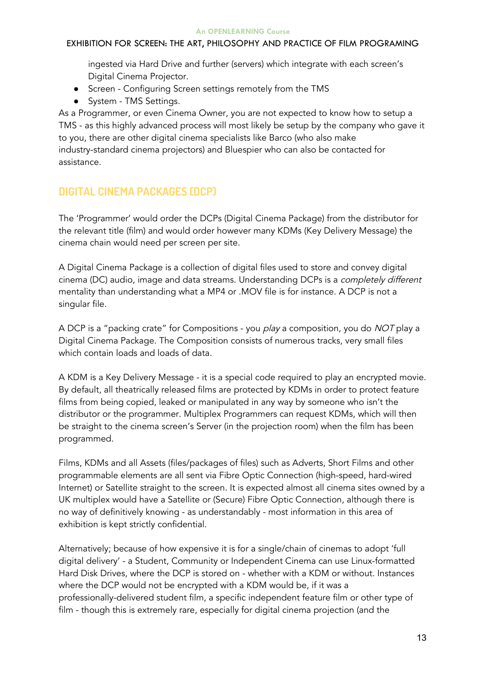## EXHIBITION FOR SCREEN: THE ART, PHILOSOPHY AND PRACTICE OF FILM PROGRAMING

ingested via Hard Drive and further (servers) which integrate with each screen's Digital Cinema Projector.

- Screen Configuring Screen settings remotely from the TMS
- System TMS Settings.

As a Programmer, or even Cinema Owner, you are not expected to know how to setup a TMS - as this highly advanced process will most likely be setup by the company who gave it to you, there are other digital cinema specialists like Barco (who also make industry-standard cinema projectors) and Bluespier who can also be contacted for assistance.

## **DIGITAL CINEMA PACKAGES (DCP)**

The 'Programmer' would order the DCPs (Digital Cinema Package) from the distributor for the relevant title (film) and would order however many KDMs (Key Delivery Message) the cinema chain would need per screen per site.

A Digital Cinema Package is a collection of digital files used to store and convey digital cinema (DC) audio, image and data streams. Understanding DCPs is a completely different mentality than understanding what a MP4 or .MOV file is for instance. A DCP is not a singular file.

A DCP is a "packing crate" for Compositions - you play a composition, you do NOT play a Digital Cinema Package. The Composition consists of numerous tracks, very small files which contain loads and loads of data.

A KDM is a Key Delivery Message - it is a special code required to play an encrypted movie. By default, all theatrically released films are protected by KDMs in order to protect feature films from being copied, leaked or manipulated in any way by someone who isn't the distributor or the programmer. Multiplex Programmers can request KDMs, which will then be straight to the cinema screen's Server (in the projection room) when the film has been programmed.

Films, KDMs and all Assets (files/packages of files) such as Adverts, Short Films and other programmable elements are all sent via Fibre Optic Connection (high-speed, hard-wired Internet) or Satellite straight to the screen. It is expected almost all cinema sites owned by a UK multiplex would have a Satellite or (Secure) Fibre Optic Connection, although there is no way of definitively knowing - as understandably - most information in this area of exhibition is kept strictly confidential.

Alternatively; because of how expensive it is for a single/chain of cinemas to adopt 'full digital delivery' - a Student, Community or Independent Cinema can use Linux-formatted Hard Disk Drives, where the DCP is stored on - whether with a KDM or without. Instances where the DCP would not be encrypted with a KDM would be, if it was a professionally-delivered student film, a specific independent feature film or other type of film - though this is extremely rare, especially for digital cinema projection (and the